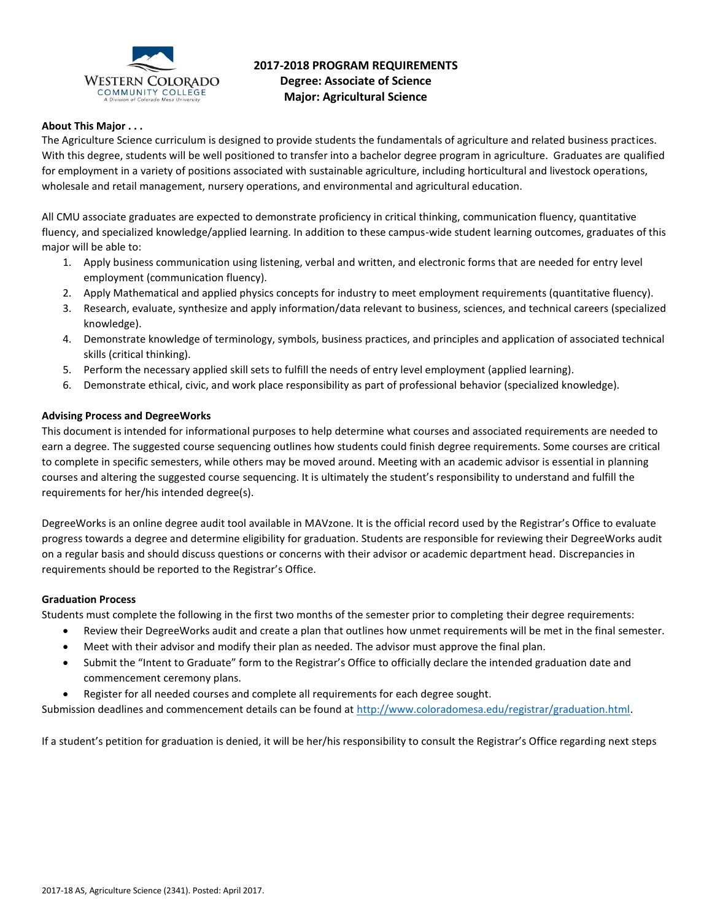

# **2017-2018 PROGRAM REQUIREMENTS Degree: Associate of Science Major: Agricultural Science**

# **About This Major . . .**

The Agriculture Science curriculum is designed to provide students the fundamentals of agriculture and related business practices. With this degree, students will be well positioned to transfer into a bachelor degree program in agriculture. Graduates are qualified for employment in a variety of positions associated with sustainable agriculture, including horticultural and livestock operations, wholesale and retail management, nursery operations, and environmental and agricultural education.

All CMU associate graduates are expected to demonstrate proficiency in critical thinking, communication fluency, quantitative fluency, and specialized knowledge/applied learning. In addition to these campus-wide student learning outcomes, graduates of this major will be able to:

- 1. Apply business communication using listening, verbal and written, and electronic forms that are needed for entry level employment (communication fluency).
- 2. Apply Mathematical and applied physics concepts for industry to meet employment requirements (quantitative fluency).
- 3. Research, evaluate, synthesize and apply information/data relevant to business, sciences, and technical careers (specialized knowledge).
- 4. Demonstrate knowledge of terminology, symbols, business practices, and principles and application of associated technical skills (critical thinking).
- 5. Perform the necessary applied skill sets to fulfill the needs of entry level employment (applied learning).
- 6. Demonstrate ethical, civic, and work place responsibility as part of professional behavior (specialized knowledge).

### **Advising Process and DegreeWorks**

This document is intended for informational purposes to help determine what courses and associated requirements are needed to earn a degree. The suggested course sequencing outlines how students could finish degree requirements. Some courses are critical to complete in specific semesters, while others may be moved around. Meeting with an academic advisor is essential in planning courses and altering the suggested course sequencing. It is ultimately the student's responsibility to understand and fulfill the requirements for her/his intended degree(s).

DegreeWorks is an online degree audit tool available in MAVzone. It is the official record used by the Registrar's Office to evaluate progress towards a degree and determine eligibility for graduation. Students are responsible for reviewing their DegreeWorks audit on a regular basis and should discuss questions or concerns with their advisor or academic department head. Discrepancies in requirements should be reported to the Registrar's Office.

#### **Graduation Process**

Students must complete the following in the first two months of the semester prior to completing their degree requirements:

- Review their DegreeWorks audit and create a plan that outlines how unmet requirements will be met in the final semester.
- Meet with their advisor and modify their plan as needed. The advisor must approve the final plan.
- Submit the "Intent to Graduate" form to the Registrar's Office to officially declare the intended graduation date and commencement ceremony plans.
- Register for all needed courses and complete all requirements for each degree sought.

Submission deadlines and commencement details can be found at [http://www.coloradomesa.edu/registrar/graduation.html.](http://www.coloradomesa.edu/registrar/graduation.html)

If a student's petition for graduation is denied, it will be her/his responsibility to consult the Registrar's Office regarding next steps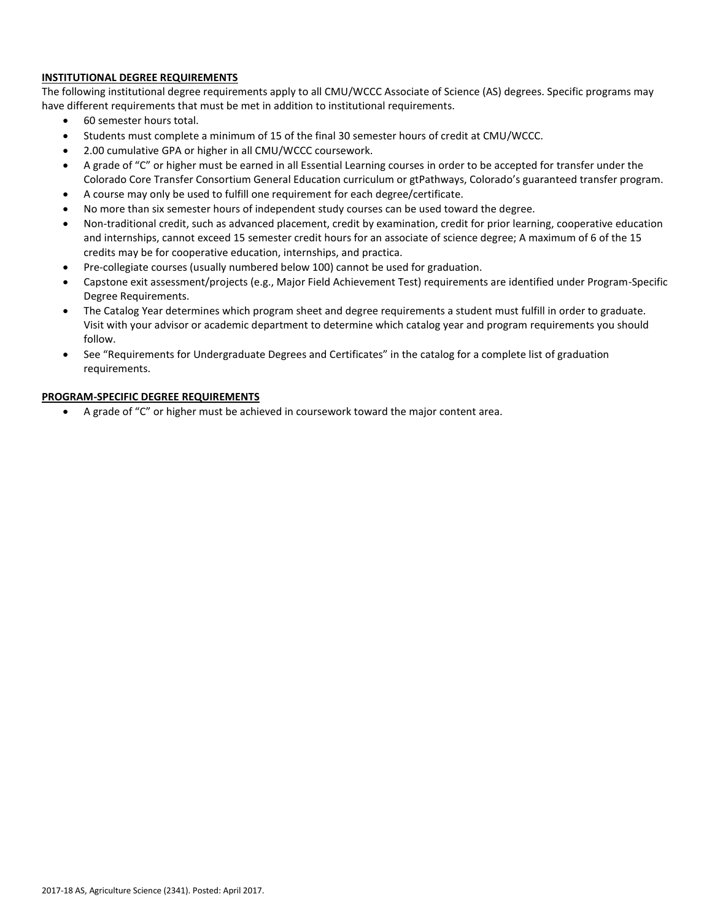### **INSTITUTIONAL DEGREE REQUIREMENTS**

The following institutional degree requirements apply to all CMU/WCCC Associate of Science (AS) degrees. Specific programs may have different requirements that must be met in addition to institutional requirements.

- 60 semester hours total.
- Students must complete a minimum of 15 of the final 30 semester hours of credit at CMU/WCCC.
- 2.00 cumulative GPA or higher in all CMU/WCCC coursework.
- A grade of "C" or higher must be earned in all Essential Learning courses in order to be accepted for transfer under the Colorado Core Transfer Consortium General Education curriculum or gtPathways, Colorado's guaranteed transfer program.
- A course may only be used to fulfill one requirement for each degree/certificate.
- No more than six semester hours of independent study courses can be used toward the degree.
- Non-traditional credit, such as advanced placement, credit by examination, credit for prior learning, cooperative education and internships, cannot exceed 15 semester credit hours for an associate of science degree; A maximum of 6 of the 15 credits may be for cooperative education, internships, and practica.
- Pre-collegiate courses (usually numbered below 100) cannot be used for graduation.
- Capstone exit assessment/projects (e.g., Major Field Achievement Test) requirements are identified under Program-Specific Degree Requirements.
- The Catalog Year determines which program sheet and degree requirements a student must fulfill in order to graduate. Visit with your advisor or academic department to determine which catalog year and program requirements you should follow.
- See "Requirements for Undergraduate Degrees and Certificates" in the catalog for a complete list of graduation requirements.

## **PROGRAM-SPECIFIC DEGREE REQUIREMENTS**

A grade of "C" or higher must be achieved in coursework toward the major content area.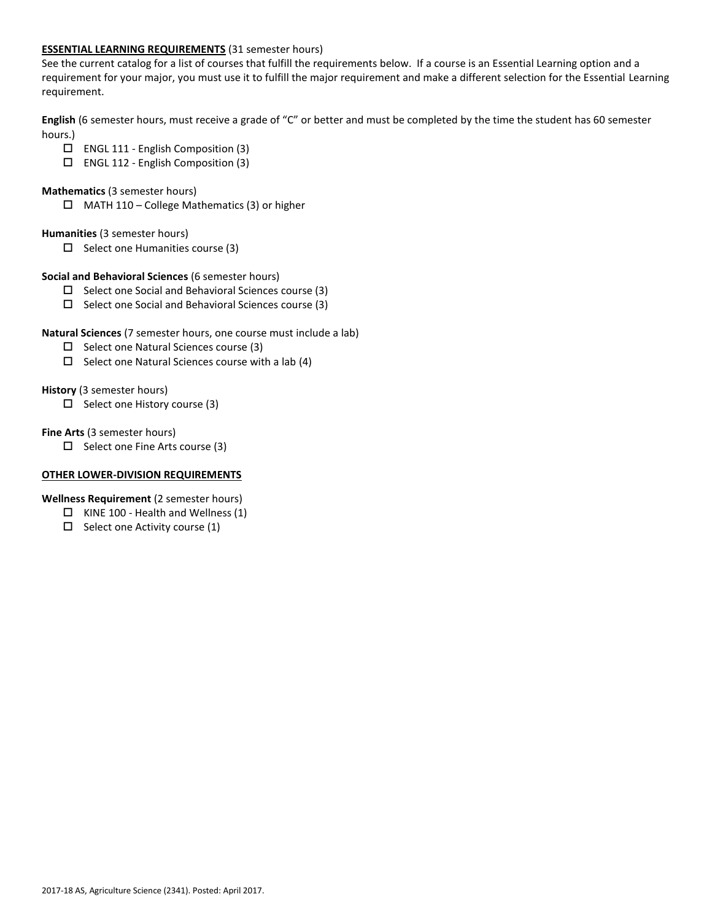#### **ESSENTIAL LEARNING REQUIREMENTS** (31 semester hours)

See the current catalog for a list of courses that fulfill the requirements below. If a course is an Essential Learning option and a requirement for your major, you must use it to fulfill the major requirement and make a different selection for the Essential Learning requirement.

**English** (6 semester hours, must receive a grade of "C" or better and must be completed by the time the student has 60 semester hours.)

- ENGL 111 English Composition (3)
- ENGL 112 English Composition (3)
- **Mathematics** (3 semester hours)
	- $\Box$  MATH 110 College Mathematics (3) or higher

# **Humanities** (3 semester hours)

 $\square$  Select one Humanities course (3)

### **Social and Behavioral Sciences** (6 semester hours)

- $\square$  Select one Social and Behavioral Sciences course (3)
- $\square$  Select one Social and Behavioral Sciences course (3)

### **Natural Sciences** (7 semester hours, one course must include a lab)

- $\Box$  Select one Natural Sciences course (3)
- $\Box$  Select one Natural Sciences course with a lab (4)

### **History** (3 semester hours)

 $\Box$  Select one History course (3)

### **Fine Arts** (3 semester hours)

 $\Box$  Select one Fine Arts course (3)

### **OTHER LOWER-DIVISION REQUIREMENTS**

# **Wellness Requirement** (2 semester hours)

- $\Box$  KINE 100 Health and Wellness (1)
- $\Box$  Select one Activity course (1)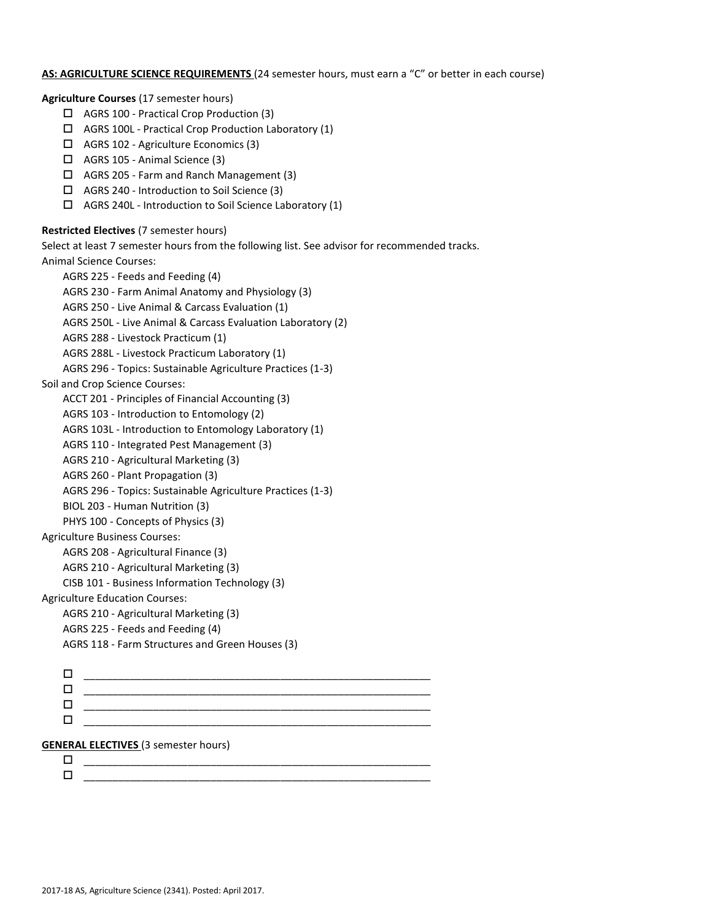#### **AS: AGRICULTURE SCIENCE REQUIREMENTS** (24 semester hours, must earn a "C" or better in each course)

**Agriculture Courses** (17 semester hours)

- AGRS 100 Practical Crop Production (3)
- $\Box$  AGRS 100L Practical Crop Production Laboratory (1)
- AGRS 102 Agriculture Economics (3)
- AGRS 105 Animal Science (3)
- AGRS 205 Farm and Ranch Management (3)
- AGRS 240 Introduction to Soil Science (3)
- $\Box$  AGRS 240L Introduction to Soil Science Laboratory (1)

#### **Restricted Electives** (7 semester hours)

Select at least 7 semester hours from the following list. See advisor for recommended tracks.

Animal Science Courses:

```
AGRS 225 - Feeds and Feeding (4)
     AGRS 230 - Farm Animal Anatomy and Physiology (3)
     AGRS 250 - Live Animal & Carcass Evaluation (1)
     AGRS 250L - Live Animal & Carcass Evaluation Laboratory (2)
     AGRS 288 - Livestock Practicum (1)
     AGRS 288L - Livestock Practicum Laboratory (1)
     AGRS 296 - Topics: Sustainable Agriculture Practices (1-3)
Soil and Crop Science Courses:
     ACCT 201 - Principles of Financial Accounting (3)
     AGRS 103 - Introduction to Entomology (2)
     AGRS 103L - Introduction to Entomology Laboratory (1)
     AGRS 110 - Integrated Pest Management (3)
     AGRS 210 - Agricultural Marketing (3)
     AGRS 260 - Plant Propagation (3)
     AGRS 296 - Topics: Sustainable Agriculture Practices (1-3)
     BIOL 203 - Human Nutrition (3)
     PHYS 100 - Concepts of Physics (3)
Agriculture Business Courses:
     AGRS 208 - Agricultural Finance (3)
     AGRS 210 - Agricultural Marketing (3)
     CISB 101 - Business Information Technology (3) 
Agriculture Education Courses:
     AGRS 210 - Agricultural Marketing (3)
     AGRS 225 - Feeds and Feeding (4)
     AGRS 118 - Farm Structures and Green Houses (3)
      ____________________________________________________________
     \Box , and the contract of the contract of the contract of the contract of the contract of the contract of the contract of the contract of the contract of the contract of the contract of the contract of the contract of th
     \Box . The contract of the contract of the contract of the contract of the contract of the contract of the contract of the contract of the contract of the contract of the contract of the contract of the contract of the co
      ____________________________________________________________
```
#### **GENERAL ELECTIVES** (3 semester hours)

 \_\_\_\_\_\_\_\_\_\_\_\_\_\_\_\_\_\_\_\_\_\_\_\_\_\_\_\_\_\_\_\_\_\_\_\_\_\_\_\_\_\_\_\_\_\_\_\_\_\_\_\_\_\_\_\_\_\_\_\_  $\Box$  . The contract of the contract of the contract of the contract of the contract of the contract of the contract of the contract of the contract of the contract of the contract of the contract of the contract of the co